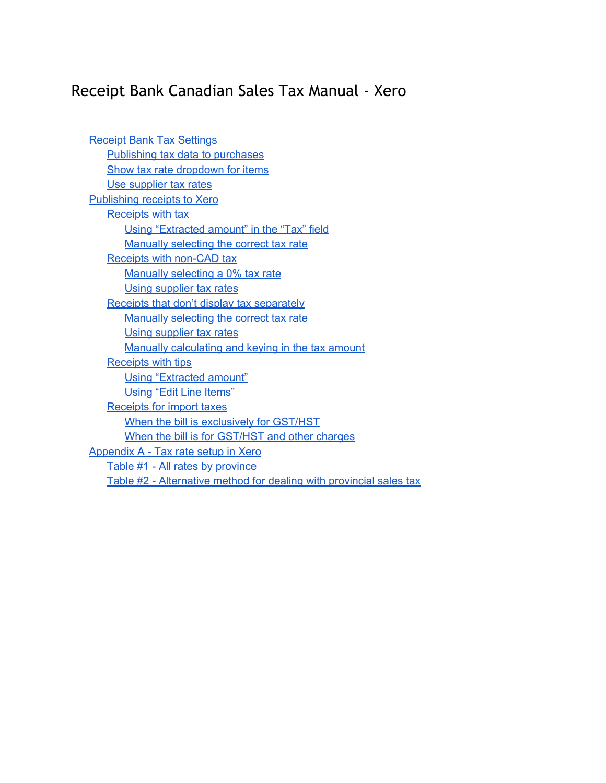# Receipt Bank Canadian Sales Tax Manual - Xero

| <b>Receipt Bank Tax Settings</b>                                    |
|---------------------------------------------------------------------|
| Publishing tax data to purchases                                    |
| Show tax rate dropdown for items                                    |
| Use supplier tax rates                                              |
| Publishing receipts to Xero                                         |
| <b>Receipts with tax</b>                                            |
| Using "Extracted amount" in the "Tax" field                         |
| Manually selecting the correct tax rate                             |
| <b>Receipts with non-CAD tax</b>                                    |
| Manually selecting a 0% tax rate                                    |
| Using supplier tax rates                                            |
| Receipts that don't display tax separately                          |
| Manually selecting the correct tax rate                             |
| Using supplier tax rates                                            |
| Manually calculating and keying in the tax amount                   |
| <b>Receipts with tips</b>                                           |
| Using "Extracted amount"                                            |
| <b>Using "Edit Line Items"</b>                                      |
| <b>Receipts for import taxes</b>                                    |
| When the bill is exclusively for GST/HST                            |
| When the bill is for GST/HST and other charges                      |
| <b>Appendix A - Tax rate setup in Xero</b>                          |
| Table #1 - All rates by province                                    |
| Table #2 - Alternative method for dealing with provincial sales tax |
|                                                                     |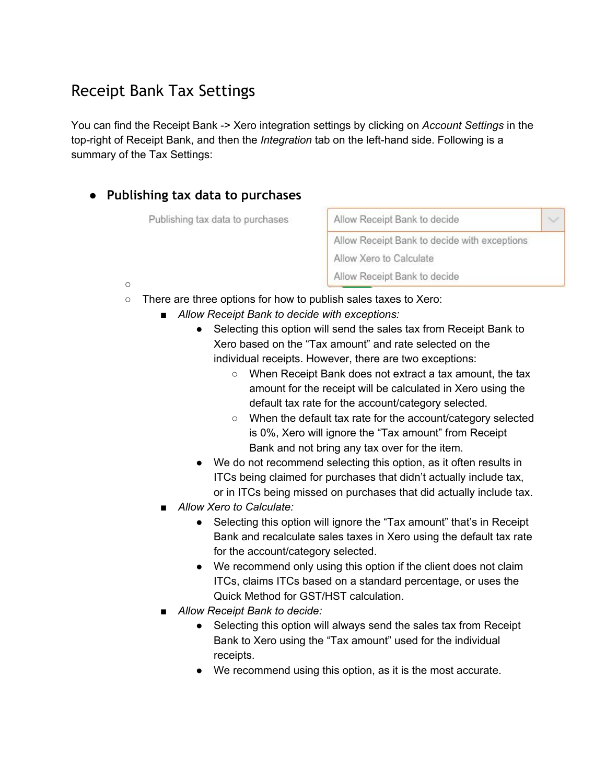## <span id="page-1-0"></span>Receipt Bank Tax Settings

You can find the Receipt Bank > Xero integration settings by clicking on *Account Settings* in the top-right of Receipt Bank, and then the *Integration* tab on the left-hand side. Following is a summary of the Tax Settings:

### <span id="page-1-1"></span>**● Publishing tax data to purchases**

Publishing tax data to purchases

Allow Receipt Bank to decide  $\checkmark$ Allow Receipt Bank to decide with exceptions Allow Xero to Calculate Allow Receipt Bank to decide

- $\circ$
- There are three options for how to publish sales taxes to Xero:
	- *■ Allow Receipt Bank to decide with exceptions:*
		- Selecting this option will send the sales tax from Receipt Bank to Xero based on the "Tax amount" and rate selected on the individual receipts. However, there are two exceptions:
			- When Receipt Bank does not extract a tax amount, the tax amount for the receipt will be calculated in Xero using the default tax rate for the account/category selected.
			- When the default tax rate for the account/category selected is 0%, Xero will ignore the "Tax amount" from Receipt Bank and not bring any tax over for the item.
		- We do not recommend selecting this option, as it often results in ITCs being claimed for purchases that didn't actually include tax, or in ITCs being missed on purchases that did actually include tax.
	- *■ Allow Xero to Calculate:*
		- Selecting this option will ignore the "Tax amount" that's in Receipt Bank and recalculate sales taxes in Xero using the default tax rate for the account/category selected.
		- We recommend only using this option if the client does not claim ITCs, claims ITCs based on a standard percentage, or uses the Quick Method for GST/HST calculation.
	- *■ Allow Receipt Bank to decide:*
		- Selecting this option will always send the sales tax from Receipt Bank to Xero using the "Tax amount" used for the individual receipts.
		- We recommend using this option, as it is the most accurate.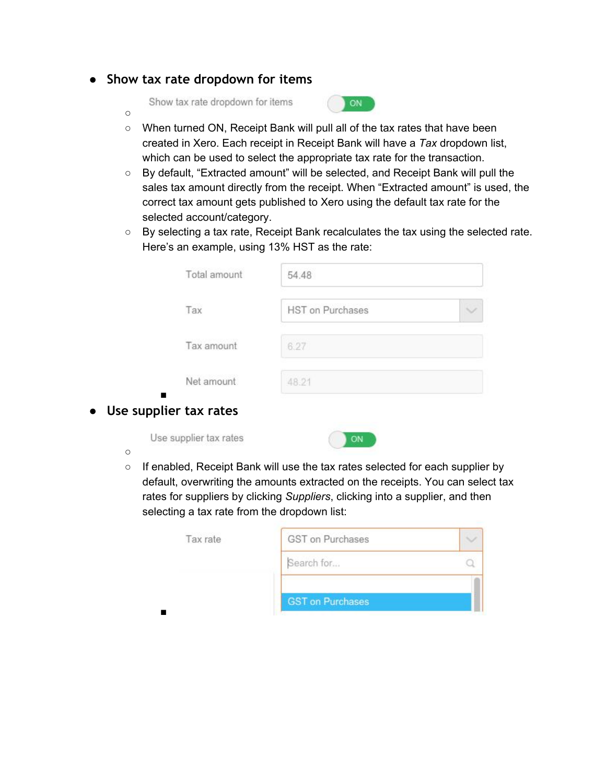#### <span id="page-2-0"></span>**● Show tax rate dropdown for items**

Show tax rate dropdown for items



- When turned ON, Receipt Bank will pull all of the tax rates that have been created in Xero. Each receipt in Receipt Bank will have a *Tax* dropdown list, which can be used to select the appropriate tax rate for the transaction.
- By default, "Extracted amount" will be selected, and Receipt Bank will pull the sales tax amount directly from the receipt. When "Extracted amount" is used, the correct tax amount gets published to Xero using the default tax rate for the selected account/category.
- By selecting a tax rate, Receipt Bank recalculates the tax using the selected rate. Here's an example, using 13% HST as the rate:

| Total amount | 54.48                   |  |
|--------------|-------------------------|--|
| Tax          | <b>HST</b> on Purchases |  |
| Tax amount   | 6.27                    |  |
| Net amount   | 48.21                   |  |

#### <span id="page-2-1"></span>■ **● Use supplier tax rates**

Use supplier tax rates



○

 $\circ$ 

○ If enabled, Receipt Bank will use the tax rates selected for each supplier by default, overwriting the amounts extracted on the receipts. You can select tax rates for suppliers by clicking *Suppliers*, clicking into a supplier, and then selecting a tax rate from the dropdown list:

| Tax rate | GST on Purchases        |  |
|----------|-------------------------|--|
|          | Search for              |  |
|          | <b>GST on Purchases</b> |  |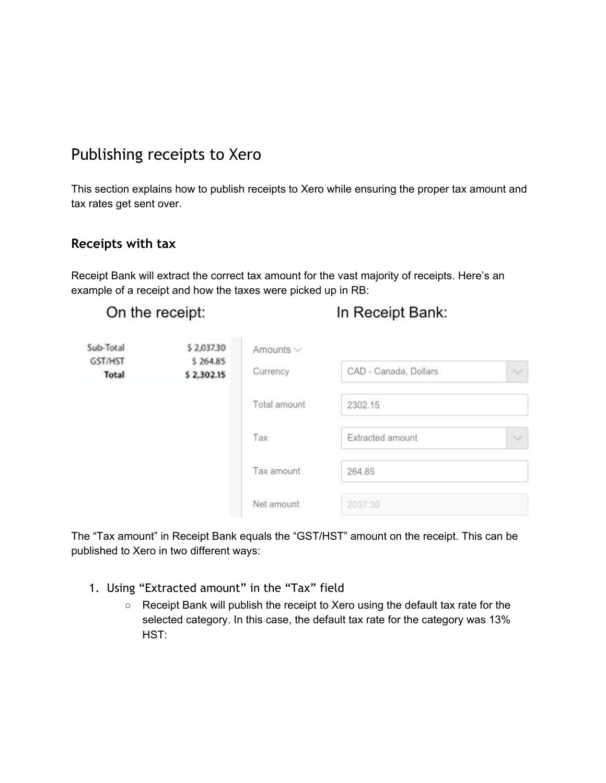## <span id="page-3-0"></span>Publishing receipts to Xero

This section explains how to publish receipts to Xero while ensuring the proper tax amount and tax rates get sent over.

#### <span id="page-3-1"></span>**Receipts with tax**

Receipt Bank will extract the correct tax amount for the vast majority of receipts. Here's an example of a receipt and how the taxes were picked up in RB:

|  | On the receipt: |  |
|--|-----------------|--|
|  |                 |  |

In Receipt Bank:

| Sub-Total        | \$2,037.30             | Amounts $\vee$ |                       |              |
|------------------|------------------------|----------------|-----------------------|--------------|
| GST/HST<br>Total | \$264.85<br>\$2,302.15 | Currency       | CAD - Canada, Dollars | $\checkmark$ |
|                  |                        | Total amount   | 2302.15               |              |
|                  |                        | Tax            | Extracted amount      | $\checkmark$ |
|                  |                        | Tax amount     | 264.85                |              |
|                  |                        | Net amount     | 2037.30               |              |

The "Tax amount" in Receipt Bank equals the "GST/HST" amount on the receipt. This can be published to Xero in two different ways:

- <span id="page-3-2"></span>1. Using "Extracted amount" in the "Tax" field
	- Receipt Bank will publish the receipt to Xero using the default tax rate for the selected category. In this case, the default tax rate for the category was 13% HST: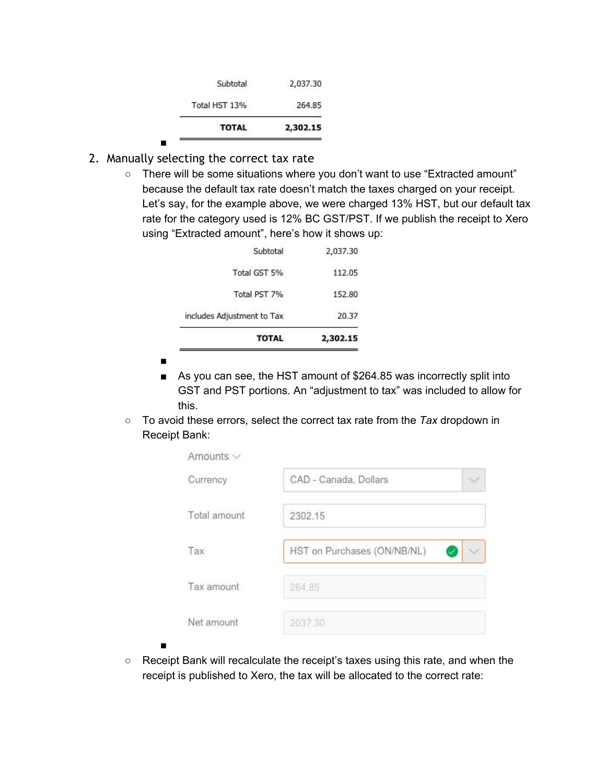| <b>TOTAL</b>  | 2,302.15 |
|---------------|----------|
| Total HST 13% | 264.85   |
| Subtotal      | 2,037.30 |

<span id="page-4-0"></span>2. Manually selecting the correct tax rate

■

○ There will be some situations where you don't want to use "Extracted amount" because the default tax rate doesn't match the taxes charged on your receipt. Let's say, for the example above, we were charged 13% HST, but our default tax rate for the category used is 12% BC GST/PST. If we publish the receipt to Xero using "Extracted amount", here's how it shows up:

| <b>TOTAL</b>               | 2,302.15 |
|----------------------------|----------|
| includes Adjustment to Tax | 20.37    |
| Total PST 7%               | 152.80   |
| Total GST 5%               | 112.05   |
| Subtotal                   | 2,037.30 |

■

■

- As you can see, the HST amount of \$264.85 was incorrectly split into GST and PST portions. An "adjustment to tax" was included to allow for this.
- To avoid these errors, select the correct tax rate from the *Tax* dropdown in Receipt Bank:

| Amounts $\vee$ |                             |  |
|----------------|-----------------------------|--|
| Currency       | CAD - Canada, Dollars       |  |
| Total amount   | 2302.15                     |  |
| Tax            | HST on Purchases (ON/NB/NL) |  |
| Tax amount     | 264.85                      |  |
| Net amount     | 2037.30                     |  |

○ Receipt Bank will recalculate the receipt's taxes using this rate, and when the receipt is published to Xero, the tax will be allocated to the correct rate: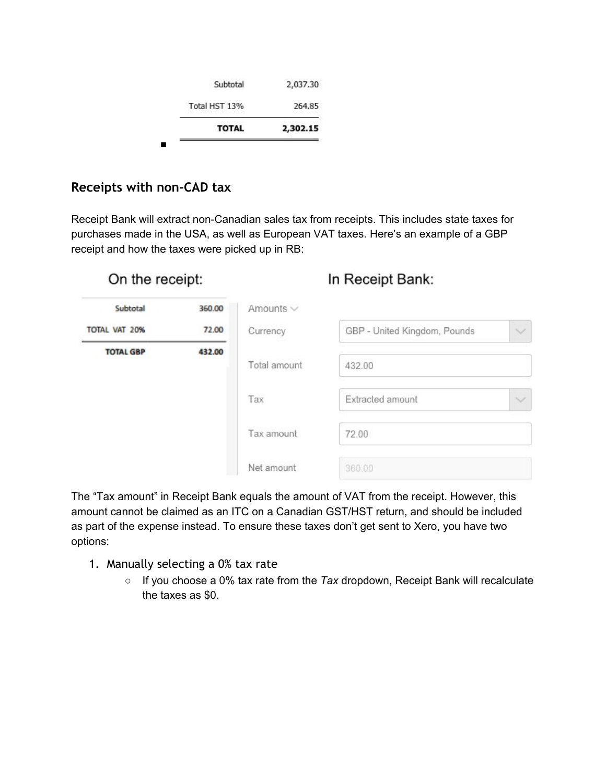| <b>TOTAL</b>  | 2,302.15 |
|---------------|----------|
| Total HST 13% | 264.85   |
| Subtotal      | 2,037.30 |

### <span id="page-5-0"></span>**Receipts with non-CAD tax**

Receipt Bank will extract non-Canadian sales tax from receipts. This includes state taxes for purchases made in the USA, as well as European VAT taxes. Here's an example of a GBP receipt and how the taxes were picked up in RB:

On the receipt:

### In Receipt Bank:

| Subtotal             | 360.00 | Amounts $\vee$ |                              |              |
|----------------------|--------|----------------|------------------------------|--------------|
| <b>TOTAL VAT 20%</b> | 72.00  | Currency       | GBP - United Kingdom, Pounds | $\checkmark$ |
| <b>TOTAL GBP</b>     | 432.00 |                |                              |              |
|                      |        | Total amount   | 432.00                       |              |
|                      |        | Tax            | Extracted amount             | $\checkmark$ |
|                      |        | Tax amount     | 72.00                        |              |
|                      |        | Net amount     | 360.00                       |              |

The "Tax amount" in Receipt Bank equals the amount of VAT from the receipt. However, this amount cannot be claimed as an ITC on a Canadian GST/HST return, and should be included as part of the expense instead. To ensure these taxes don't get sent to Xero, you have two options:

- <span id="page-5-1"></span>1. Manually selecting a 0% tax rate
	- If you choose a 0% tax rate from the *Tax* dropdown, Receipt Bank will recalculate the taxes as \$0.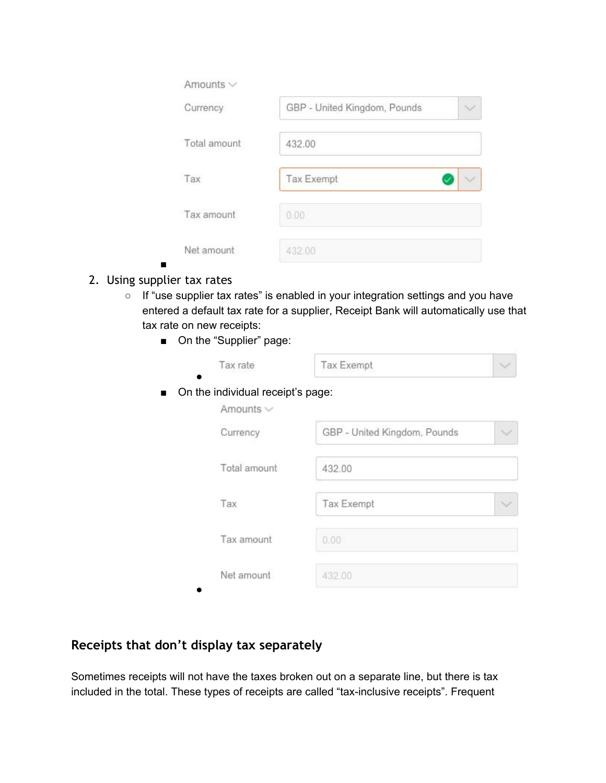| Amounts $\vee$ |                              |  |
|----------------|------------------------------|--|
| Currency       | GBP - United Kingdom, Pounds |  |
| Total amount   | 432.00                       |  |
| Tax            | Tax Exempt                   |  |
| Tax amount     | 0.00                         |  |
| Net amount     | 432.00                       |  |

- <span id="page-6-0"></span>■ 2. Using supplier tax rates
	- If "use supplier tax rates" is enabled in your integration settings and you have entered a default tax rate for a supplier, Receipt Bank will automatically use that tax rate on new receipts:
		- On the "Supplier" page:

|                | Tax rate                                            | Tax Exempt                   |  |
|----------------|-----------------------------------------------------|------------------------------|--|
| $\blacksquare$ | On the individual receipt's page:<br>Amounts $\vee$ |                              |  |
|                | Currency                                            | GBP - United Kingdom, Pounds |  |
|                | Total amount                                        | 432.00                       |  |
|                | Tax                                                 | Tax Exempt                   |  |
|                | Tax amount                                          | 0.00                         |  |
|                | Net amount                                          | 432.00                       |  |

## <span id="page-6-1"></span>**Receipts that don't display tax separately**

Sometimes receipts will not have the taxes broken out on a separate line, but there is tax included in the total. These types of receipts are called "tax-inclusive receipts". Frequent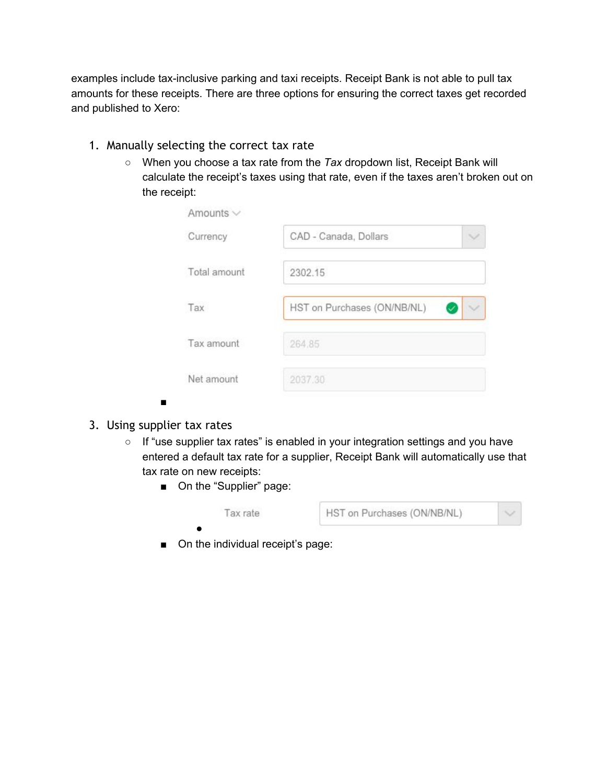examples include tax-inclusive parking and taxi receipts. Receipt Bank is not able to pull tax amounts for these receipts. There are three options for ensuring the correct taxes get recorded and published to Xero:

- <span id="page-7-0"></span>1. Manually selecting the correct tax rate
	- When you choose a tax rate from the *Tax* dropdown list, Receipt Bank will calculate the receipt's taxes using that rate, even if the taxes aren't broken out on the receipt:

<span id="page-7-1"></span>3. Using supplier tax rates

■

- If "use supplier tax rates" is enabled in your integration settings and you have entered a default tax rate for a supplier, Receipt Bank will automatically use that tax rate on new receipts:
	- On the "Supplier" page:



■ On the individual receipt's page: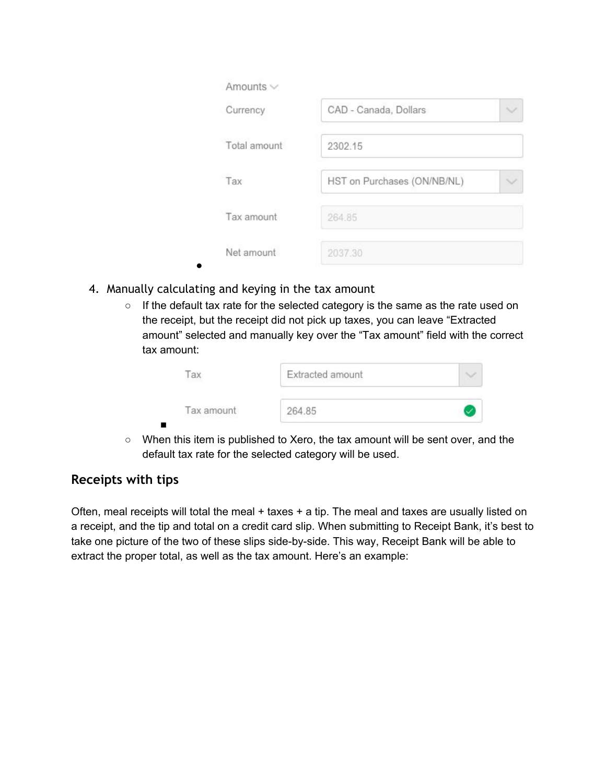| Amounts $\vee$ |                             |  |
|----------------|-----------------------------|--|
| Currency       | CAD - Canada, Dollars       |  |
| Total amount   | 2302.15                     |  |
| Tax            | HST on Purchases (ON/NB/NL) |  |
| Tax amount     | 264.85                      |  |
| Net amount     | 2037.30                     |  |

<span id="page-8-0"></span>4. Manually calculating and keying in the tax amount

●

○ If the default tax rate for the selected category is the same as the rate used on the receipt, but the receipt did not pick up taxes, you can leave "Extracted amount" selected and manually key over the "Tax amount" field with the correct tax amount:

| ax<br>$-7500$                              | Extracted amount<br>이 아이는 그렇게 좋아서 보이지 않아서 보이지 않아 보이지 않아. |  |
|--------------------------------------------|----------------------------------------------------------|--|
| Tax amount<br>THE TRANSPORTER TO THE TABLE | 264.85                                                   |  |

○ When this item is published to Xero, the tax amount will be sent over, and the default tax rate for the selected category will be used.

### <span id="page-8-1"></span>**Receipts with tips**

Often, meal receipts will total the meal  $+$  taxes  $+$  a tip. The meal and taxes are usually listed on a receipt, and the tip and total on a credit card slip. When submitting to Receipt Bank, it's best to take one picture of the two of these slips side-by-side. This way, Receipt Bank will be able to extract the proper total, as well as the tax amount. Here's an example: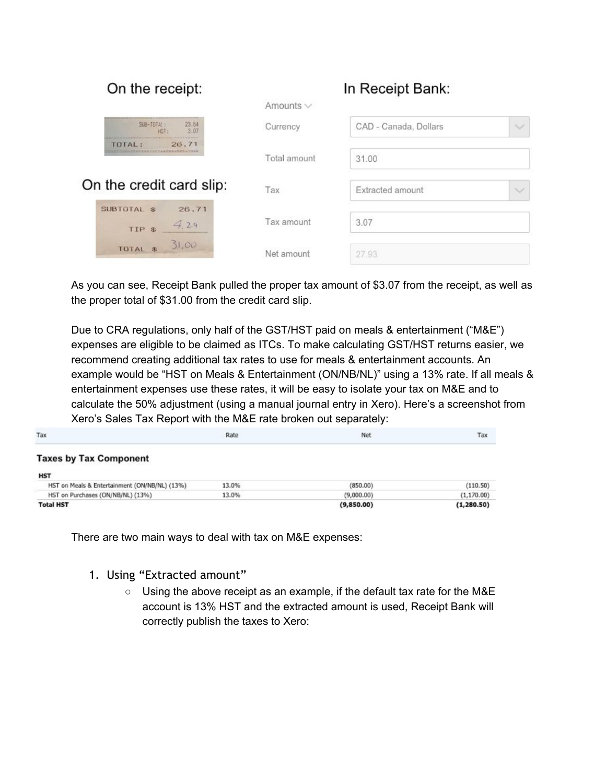| On the receipt:                                       |                | In Receipt Bank:                      |
|-------------------------------------------------------|----------------|---------------------------------------|
|                                                       | Amounts $\vee$ |                                       |
| $SUB - TOTA$<br>23.64<br>3.07<br>HST:                 | Currency       | CAD - Canada, Dollars<br>$\checkmark$ |
| 26.71<br>TOTAL:<br><b>MARTIN FACTAZZARITZA - 1943</b> | Total amount   | 31.00                                 |
| On the credit card slip:                              | Tax            | Extracted amount<br>$\checkmark$      |
| 26.71<br>SUBTOTAL \$<br>4.29<br>TIP \$                | Tax amount     | 3.07                                  |
| 31.00<br>TOTAL \$                                     | Net amount     | 27.93                                 |

As you can see, Receipt Bank pulled the proper tax amount of \$3.07 from the receipt, as well as the proper total of \$31.00 from the credit card slip.

Due to CRA regulations, only half of the GST/HST paid on meals & entertainment ("M&E") expenses are eligible to be claimed as ITCs. To make calculating GST/HST returns easier, we recommend creating additional tax rates to use for meals & entertainment accounts. An example would be "HST on Meals & Entertainment (ON/NB/NL)" using a 13% rate. If all meals & entertainment expenses use these rates, it will be easy to isolate your tax on M&E and to calculate the 50% adjustment (using a manual journal entry in Xero). Here's a screenshot from Xero's Sales Tax Report with the M&E rate broken out separately:

| Tax                                           | Rate  | Net        | Tax         |
|-----------------------------------------------|-------|------------|-------------|
| <b>Taxes by Tax Component</b>                 |       |            |             |
| <b>HST</b>                                    |       |            |             |
| HST on Meals & Entertainment (ON/NB/NL) (13%) | 13.0% | (850.00)   | (110.50)    |
| HST on Purchases (ON/NB/NL) (13%)             | 13.0% | (9,000.00) | (1, 170.00) |
| <b>Total HST</b>                              |       | (9,850.00) | (1, 280.50) |

There are two main ways to deal with tax on M&E expenses:

#### <span id="page-9-0"></span>1. Using "Extracted amount"

○ Using the above receipt as an example, if the default tax rate for the M&E account is 13% HST and the extracted amount is used, Receipt Bank will correctly publish the taxes to Xero: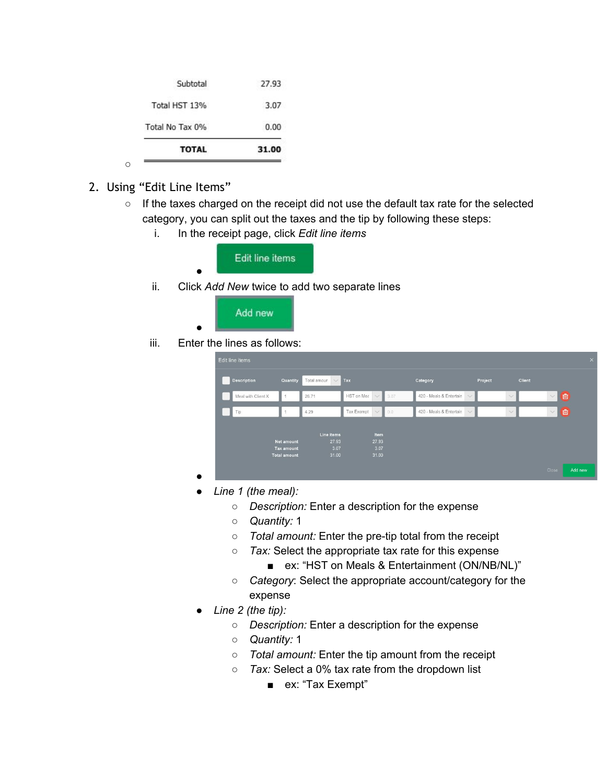| <b>TOTAL</b>    | 31.00 |
|-----------------|-------|
| Total No Tax 0% | 0.00  |
| Total HST 13%   | 3.07  |
| Subtotal        | 27.93 |

<span id="page-10-0"></span>2. Using "Edit Line Items"

○

- If the taxes charged on the receipt did not use the default tax rate for the selected category, you can split out the taxes and the tip by following these steps:
	- i. In the receipt page, click *Edit line items*



ii. Click *Add New* twice to add two separate lines



iii. Enter the lines as follows:

●

| <b>Description</b> | Quantity            | Total amoun<br>$\vee$ Tax |                            |            | Category                | Project                         |              | <b>Client</b> |
|--------------------|---------------------|---------------------------|----------------------------|------------|-------------------------|---------------------------------|--------------|---------------|
| Meal with Client X |                     | 26.71                     | HST on Meε<br>$\checkmark$ | 3.07       | 420 - Meals & Entertain | $\vee$ $\blacksquare$           | $\checkmark$ | $\vee$ 0      |
| Tip                |                     | 4.29                      | Tax Exempt                 | $\vee$ 0.0 | 420 - Meals & Entertain | $\vee$ $\overline{\phantom{0}}$ | $\checkmark$ | ▽□□           |
|                    |                     |                           |                            |            |                         |                                 |              |               |
|                    | <b>Net amount</b>   | Line items<br>27.93       | Item<br>27.93              |            |                         |                                 |              |               |
|                    | <b>Tax amount</b>   | 3.07                      | 3.07                       |            |                         |                                 |              |               |
|                    | <b>Total amount</b> | 31.00                     | 31.00                      |            |                         |                                 |              |               |

- *● Line 1 (the meal):*
	- *○ Description:* Enter a description for the expense
	- *○ Quantity:* 1
	- *Total amount:* Enter the pre-tip total from the receipt
	- *○ Tax:* Select the appropriate tax rate for this expense
		- ex: "HST on Meals & Entertainment (ON/NB/NL)"
	- *○ Category*: Select the appropriate account/category for the expense
- *● Line 2 (the tip):*
	- *○ Description:* Enter a description for the expense
	- *○ Quantity:* 1
	- *○ Total amount:* Enter the tip amount from the receipt
	- *○ Tax:* Select a 0% tax rate from the dropdown list
		- ex: "Tax Exempt"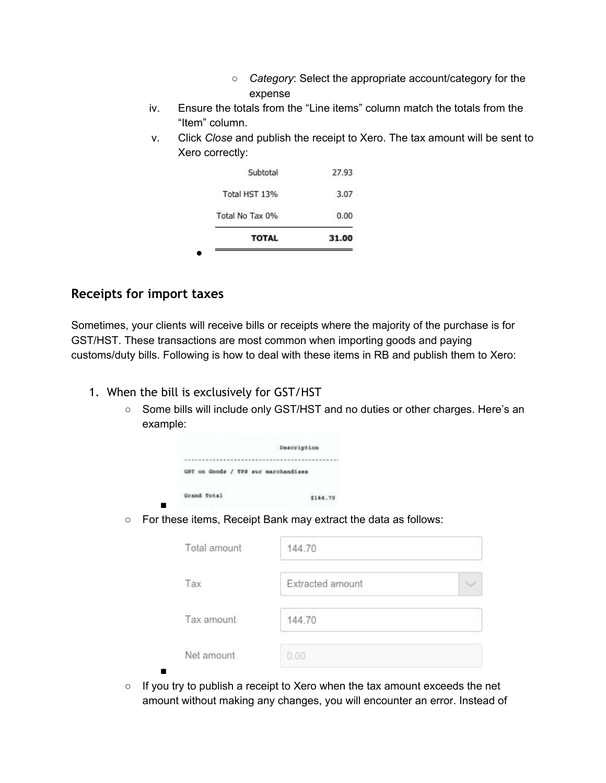- *○ Category*: Select the appropriate account/category for the expense
- iv. Ensure the totals from the "Line items" column match the totals from the "Item" column.
- v. Click *Close* and publish the receipt to Xero. The tax amount will be sent to Xero correctly:

| <b>TOTAL</b>    | 31.00 |
|-----------------|-------|
| Total No Tax 0% | 0.00  |
| Total HST 13%   | 3.07  |
| Subtotal        | 27.93 |

#### <span id="page-11-0"></span>**Receipts for import taxes**

■

Sometimes, your clients will receive bills or receipts where the majority of the purchase is for GST/HST. These transactions are most common when importing goods and paying customs/duty bills. Following is how to deal with these items in RB and publish them to Xero:

- <span id="page-11-1"></span>1. When the bill is exclusively for GST/HST
	- Some bills will include only GST/HST and no duties or other charges. Here's an example:

|             |                                     |  | Description |          |
|-------------|-------------------------------------|--|-------------|----------|
|             |                                     |  |             |          |
|             | GST on Goods / TPS sur marchandises |  |             |          |
| Grand Total |                                     |  |             | \$144.70 |

○ For these items, Receipt Bank may extract the data as follows:

| Total amount    | 144.70           |  |
|-----------------|------------------|--|
| Tax             | Extracted amount |  |
| Tax amount      | 144.70           |  |
| Net amount<br>г | 0.00             |  |

○ If you try to publish a receipt to Xero when the tax amount exceeds the net amount without making any changes, you will encounter an error. Instead of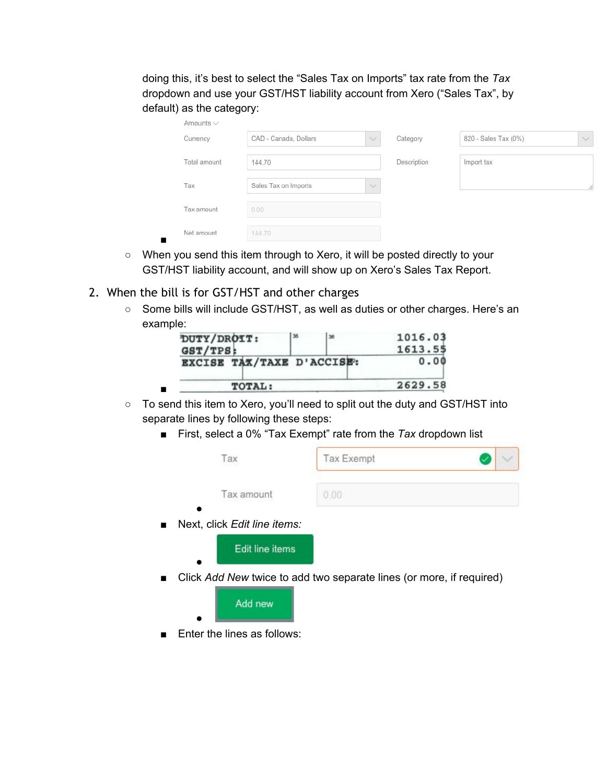doing this, it's best to select the "Sales Tax on Imports" tax rate from the *Tax* dropdown and use your GST/HST liability account from Xero ("Sales Tax", by default) as the category:

| Amounts $\vee$ |                       |                  |             |                      |                  |
|----------------|-----------------------|------------------|-------------|----------------------|------------------|
| Currency       | CAD - Canada, Dollars | $\smallsetminus$ | Category    | 820 - Sales Tax (0%) | $\smallsetminus$ |
| Total amount   | 144.70                |                  | Description | Import tax           |                  |
| Tax            | Sales Tax on Imports  | $\sim$           |             |                      | 77               |
| Tax amount     | 0.00                  |                  |             |                      |                  |
| Net amount     | 144.70                |                  |             |                      |                  |

- When you send this item through to Xero, it will be posted directly to your GST/HST liability account, and will show up on Xero's Sales Tax Report.
- <span id="page-12-0"></span>2. When the bill is for GST/HST and other charges
	- Some bills will include GST/HST, as well as duties or other charges. Here's an example:

| DUTY/DROIT:               | 36 | 36 | 1016.03 |
|---------------------------|----|----|---------|
| GST/TPS:                  |    |    | 1613.55 |
| EXCISE TAX/TAXE D'ACCISE: |    |    | 0.00    |
| TOTAL:                    |    |    | 2629.58 |

- To send this item to Xero, you'll need to split out the duty and GST/HST into separate lines by following these steps:
	- First, select a 0% "Tax Exempt" rate from the *Tax* dropdown list

| Tax                          | <b>Tax Exempt</b>                                                    |  |
|------------------------------|----------------------------------------------------------------------|--|
| Tax amount                   | 0.00                                                                 |  |
| Next, click Edit line items: |                                                                      |  |
| Edit line items              |                                                                      |  |
|                              | Click Add New twice to add two separate lines (or more, if required) |  |
| Add new                      |                                                                      |  |

■ Enter the lines as follows: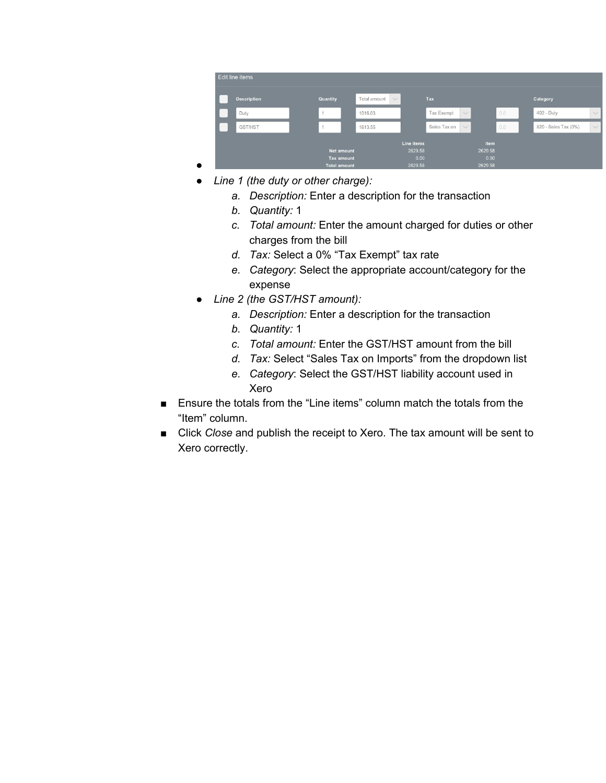| <b>Description</b> | Quantity            | Total amount<br>$\vee$ | Tax                        |             | Category             |        |
|--------------------|---------------------|------------------------|----------------------------|-------------|----------------------|--------|
| Duty               | 1                   | 1016.03                | Tax Exempt<br>$\checkmark$ | 0.0         | 402 - Duty           | $\vee$ |
| GST/HST            |                     | 1613.55                | Sales Tax on<br>$\vee$     | 0.0         | 820 - Sales Tax (0%) | $\vee$ |
|                    |                     | Line items             |                            | <b>Item</b> |                      |        |
|                    | <b>Net amount</b>   | 2629.58                |                            | 2629.58     |                      |        |
|                    | <b>Tax amount</b>   | 0.00                   |                            | 0.00        |                      |        |
|                    | <b>Total amount</b> | 2629.58                |                            | 2629.58     |                      |        |

- *● Line 1 (the duty or other charge):*
	- *a. Description:* Enter a description for the transaction
	- *b. Quantity:* 1

●

- *c. Total amount:* Enter the amount charged for duties or other charges from the bill
- *d. Tax:* Select a 0% "Tax Exempt" tax rate
- *e. Category*: Select the appropriate account/category for the expense
- *● Line 2 (the GST/HST amount):*
	- *a. Description:* Enter a description for the transaction
	- *b. Quantity:* 1
	- *c. Total amount:* Enter the GST/HST amount from the bill
	- *d. Tax:* Select "Sales Tax on Imports" from the dropdown list
	- *e. Category*: Select the GST/HST liability account used in Xero
- Ensure the totals from the "Line items" column match the totals from the "Item" column.
- Click *Close* and publish the receipt to Xero. The tax amount will be sent to Xero correctly.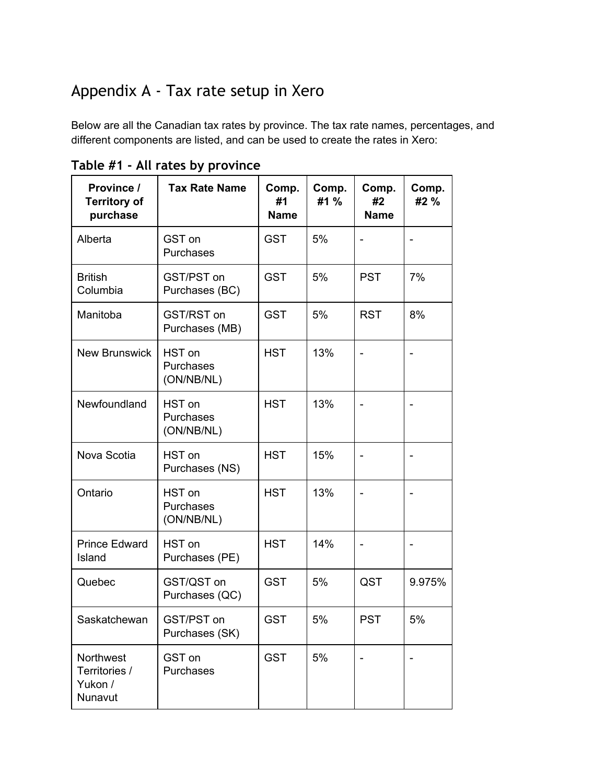## <span id="page-14-0"></span>Appendix A - Tax rate setup in Xero

Below are all the Canadian tax rates by province. The tax rate names, percentages, and different components are listed, and can be used to create the rates in Xero:

| Province /<br><b>Territory of</b><br>purchase    | <b>Tax Rate Name</b>              | Comp.<br>#1<br><b>Name</b> | Comp.<br>#1 % | Comp.<br>#2<br><b>Name</b> | Comp.<br>#2 %            |
|--------------------------------------------------|-----------------------------------|----------------------------|---------------|----------------------------|--------------------------|
| Alberta                                          | GST on<br>Purchases               | <b>GST</b>                 | 5%            |                            |                          |
| <b>British</b><br>Columbia                       | GST/PST on<br>Purchases (BC)      | <b>GST</b>                 | 5%            | <b>PST</b>                 | 7%                       |
| Manitoba                                         | GST/RST on<br>Purchases (MB)      | <b>GST</b>                 | 5%            | <b>RST</b>                 | 8%                       |
| <b>New Brunswick</b>                             | HST on<br>Purchases<br>(ON/NB/NL) | <b>HST</b>                 | 13%           |                            |                          |
| Newfoundland                                     | HST on<br>Purchases<br>(ON/NB/NL) | <b>HST</b>                 | 13%           |                            |                          |
| Nova Scotia                                      | HST on<br>Purchases (NS)          | <b>HST</b>                 | 15%           |                            |                          |
| Ontario                                          | HST on<br>Purchases<br>(ON/NB/NL) | <b>HST</b>                 | 13%           |                            |                          |
| <b>Prince Edward</b><br>Island                   | HST on<br>Purchases (PE)          | <b>HST</b>                 | 14%           |                            | $\overline{\phantom{m}}$ |
| Quebec                                           | GST/QST on<br>Purchases (QC)      | <b>GST</b>                 | 5%            | QST                        | 9.975%                   |
| Saskatchewan                                     | GST/PST on<br>Purchases (SK)      | <b>GST</b>                 | 5%            | <b>PST</b>                 | 5%                       |
| Northwest<br>Territories /<br>Yukon /<br>Nunavut | GST on<br>Purchases               | <b>GST</b>                 | 5%            |                            |                          |

<span id="page-14-1"></span>**Table #1 - All rates by province**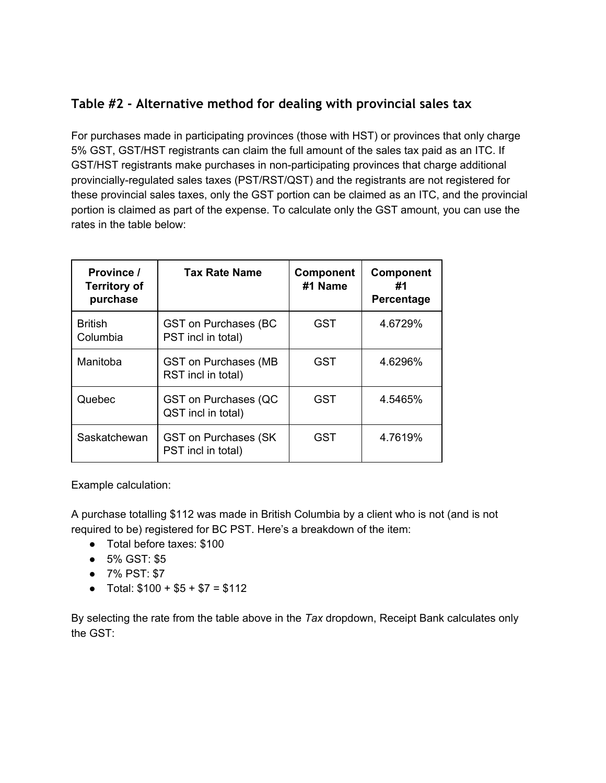## <span id="page-15-0"></span>**Table #2 - Alternative method for dealing with provincial sales tax**

For purchases made in participating provinces (those with HST) or provinces that only charge 5% GST, GST/HST registrants can claim the full amount of the sales tax paid as an ITC. If GST/HST registrants make purchases in non-participating provinces that charge additional provincially-regulated sales taxes (PST/RST/QST) and the registrants are not registered for these provincial sales taxes, only the GST portion can be claimed as an ITC, and the provincial portion is claimed as part of the expense. To calculate only the GST amount, you can use the rates in the table below:

| Province /<br><b>Territory of</b><br>purchase | <b>Tax Rate Name</b>                               | <b>Component</b><br>#1 Name | <b>Component</b><br>#1<br>Percentage |
|-----------------------------------------------|----------------------------------------------------|-----------------------------|--------------------------------------|
| <b>British</b><br>Columbia                    | <b>GST on Purchases (BC</b><br>PST incl in total)  | <b>GST</b>                  | 4.6729%                              |
| Manitoba                                      | <b>GST on Purchases (MB</b><br>RST incl in total)  | GST                         | 4.6296%                              |
| Quebec                                        | <b>GST on Purchases (QC</b><br>QST incl in total)  | <b>GST</b>                  | 4.5465%                              |
| Saskatchewan                                  | <b>GST on Purchases (SK)</b><br>PST incl in total) | <b>GST</b>                  | 4.7619%                              |

Example calculation:

A purchase totalling \$112 was made in British Columbia by a client who is not (and is not required to be) registered for BC PST. Here's a breakdown of the item:

- Total before taxes: \$100
- 5% GST: \$5
- 7% PST: \$7
- Total:  $$100 + $5 + $7 = $112$

By selecting the rate from the table above in the *Tax* dropdown, Receipt Bank calculates only the GST: